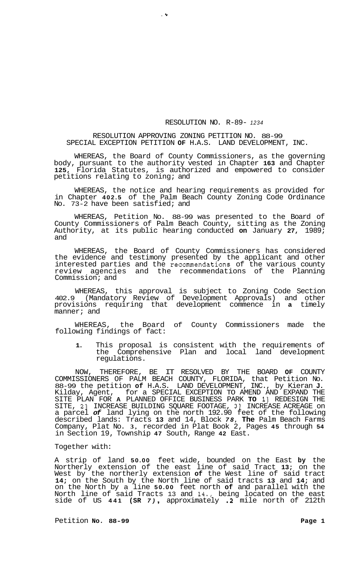## RESOLUTION NO. R-89- *<sup>1234</sup>*

## RESOLUTION APPROVING ZONING PETITION NO. 88-99 SPECIAL EXCEPTION PETITION **OF** H.A.S. LAND DEVELOPMENT, INC.

**.v** 

WHEREAS, the Board of County Commissioners, as the governing body, pursuant to the authority vested in Chapter **163** and Chapter **125,** Florida Statutes, is authorized and empowered to consider petitions relating to zoning; and

WHEREAS, the notice and hearing requirements as provided for in Chapter **402.5** of the Palm Beach County Zoning Code Ordinance No. 73-2 have been satisfied; and

WHEREAS, Petition No. 88-99 was presented to the Board of County Commissioners of Palm Beach County, sitting as the Zoning Authority, at its public hearing conducted **on** January **27,** 1989; and

WHEREAS, the Board of County Commissioners has considered the evidence and testimony presented by the applicant and other interested parties and the recommendations of the various county review agencies and the recommendations of the Planning Commission; and

WHEREAS, this approval is subject to Zoning Code Section 402.9 (Mandatory Review of Development Approvals) and other provisions requiring that development commence in **a** timely manner; and

WHEREAS, the Board of County Commissioners made the following findings of fact:

**1.** This proposal is consistent with the requirements of the Comprehensive Plan and local land development regulations.

NOW, THEREFORE, BE IT RESOLVED BY THE BOARD **OF** COUNTY COMMISSIONERS OF PALM BEACH COUNTY, FLORIDA, that Petition No. 88-99 the petition **of** H.A.S. LAND DEVELOPMENT, INC., by Kieran **J.**  Kilday, Agent, for a SPECIAL EXCEPTION TO AMEND AND EXPAND THE SITE PLAN FOR **A** PLANNED OFFICE BUSINESS PARK **TO** 11 REDESIGN THE SITE, 21 INCREASE BUILDING SQUARE FOOTAGE, 31 INCREASE ACREAGE on a parcel *of* land lying on the north 192.90 feet of the following described lands: Tracts **13** and 14, Block *78,* **The** Palm Beach Farms Company, Plat No. **3,** recorded in Plat Book 2, Pages **45** through **54**  in Section 19, Township **47** South, Range **42** East.

## Together with:

A strip of land **50.00** feet wide, bounded on the East **by** the Northerly extension of the east line of said Tract **13;** on the West by the northerly extension of the West line of said tract **14;** on the South by the North line of said tracts **13** and **14;** and on the North by a line **50.00** feet north **of** and parallel with the North line of said Tracts 13 and **14.,** being located on the east side of US **441 (SR** *7)* , approximately **.2** mile north of 212th

Petition **No. 88-99** Page 1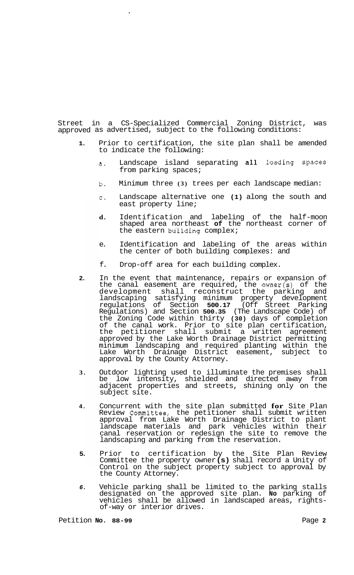approved as advertised, subject to the following conditions: Street in a CS-Specialized Commercial Zoning District, was

 $\mathbf{r}$ 

- **1.**  Prior to certification, the site plan shall be amended to indicate the following:
	- a. Landscape island separating all loading spaces from parking spaces;
	- b. Minimum three **(3)** trees per each landscape median:
	- c. Landscape alternative one **(1)** along the south and east property line;
	- **d.** Identification and labeling of the half-moon shaped area northeast **of** the northeast corner of the eastern building complex;
	- e. Identification and labeling of the areas within the center of both building complexes: and
	- f. Drop-off area for each building complex.
- **2.**  In the event that maintenance, repairs or expansion of the canal easement are required, the owner(s) of the development shall reconstruct the parking and landscaping satisfying minimum property development regulations of Section **500.17** (Off Street Parking Regulations) and Section **500.35** (The Landscape Code) of the Zoning Code within thirty **(30)** days of completion of the canal work. Prior to site plan certification, the petitioner shall submit a written agreement approved by the Lake Worth Drainage District permitting minimum landscaping and required planting within the Lake Worth Drainage District easement, subject to approval by the County Attorney.
- **3.**  Outdoor lighting used to illuminate the premises shall be low intensity, shielded and directed away from adjacent properties and streets, shining only on the subject site.
- **4.**  Concurrent with the site plan submitted **for** Site Plan Review Committee, the petitioner shall submit written approval from Lake Worth Drainage District to plant landscape materials and park vehicles within their canal reservation or redesign the site to remove the landscaping and parking from the reservation.
- **5.**  Prior to certification by the Site Plan Review Committee the property owner **(s)** shall record a Unity of Control on the subject property subject to approval by the County Attorney.
- *6.*  Vehicle parking shall be limited to the parking stalls designated on the approved site plan. **No** parking of vehicles shall be allowed in landscaped areas, rights- of-way or interior drives.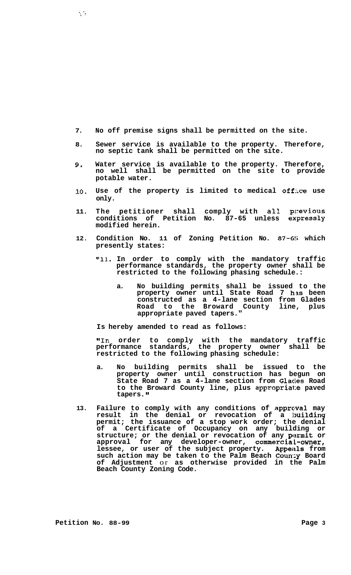- **7. No off premise signs shall be permitted on the site.**
- **8. Sewer service is available to the property. Therefore, no septic tank shall be permitted on the site.**
- **9. Water service is available to the property. Therefore, no well shall be permitted on the site to provide potable water.**
- 10. Use of the property is limited to medical office use **only.**
- **11. The petitioner shall comply with all pl:eVious conditions of Petition No. 87-65 unless expressly modified herein.**
- 12. Condition No. 11 of Zoning Petition No. 87-6<sup>5</sup> which **presently states:** 
	- **"11. In order to comply with the mandatory traffic performance standards, the property owner shall be restricted to the following phasing schedule.:** 
		- **a. No building permits shall be issued to the property owner until State Road 7 hls been constructed as a 4-lane section from Glades Road to the Broward County line, plus appropriate paved tapers."**

**Is hereby amended to read as follows:** 

**"In order to comply with the mandatory traffic performance standards, the property owner shall be restricted to the following phasing schedule:** 

- **a. No building permits shall be issued to the property owner until construction has begun on State Road 7 as a 4-lane section from Glades Road to the Broward County line, plus appropriate paved tapers. If**
- **13. Failure to comply with any conditions of apprcwal may result in the denial or revocation of a lmilding permit; the issuance of a stop work order; the denial of a Certificate of Occupancy on any building or structure; or the denial or revocation of any permit or approval for any developer-owner, commercia.1-owner, lessee, or user of the subject property. Appeiils from such action may be taken to the Palm Beach Coun:y Board of Adjustment** or **as otherwise provided in the Palm Beach County Zoning Code.**

 $\mathcal{L}^{\mathcal{L}}$